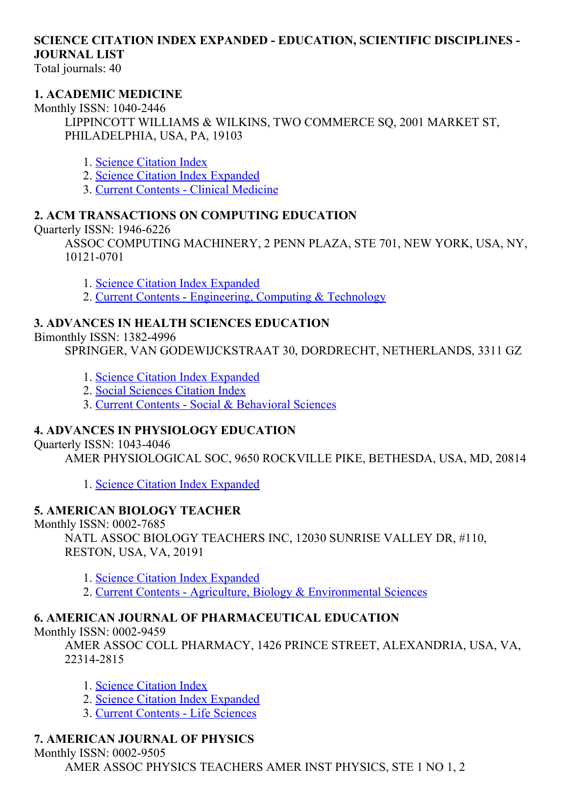# SCIENCE CITATION INDEX EXPANDED - EDUCATION, SCIENTIFIC DISCIPLINES -JOURNAL LIST

Total journals: 40

#### 1. ACADEMIC MEDICINE

Monthly ISSN: 1040-2446 LIPPINCOTT WILLIAMS & WILKINS, TWO COMMERCE SQ, 2001 MARKET ST, PHILADELPHIA, USA, PA, 19103

- 1. Science [Citation](http://thomsonreuters.com/science-citation-index-expanded) Index
- 2. Science Citation Index [Expanded](http://thomsonreuters.com/science-citation-index-expanded)
- 3. Current Contents Clinical [Medicine](http://thomsonreuters.com/current-contents-connect)

#### 2. ACM TRANSACTIONS ON COMPUTING EDUCATION

Ouarterly ISSN:  $1946-6226$ 

ASSOC COMPUTING MACHINERY, 2 PENN PLAZA, STE 701, NEW YORK, USA, NY, 10121-0701

- 1. Science Citation Index [Expanded](http://thomsonreuters.com/science-citation-index-expanded)
- 2. Current Contents [Engineering,](http://thomsonreuters.com/current-contents-connect) Computing & Technology

#### 3. ADVANCES IN HEALTH SCIENCES EDUCATION

#### Bimonthly ISSN: 13824996

SPRINGER, VAN GODEWIJCKSTRAAT 30, DORDRECHT, NETHERLANDS, 3311 GZ

- 1. Science Citation Index [Expanded](http://thomsonreuters.com/science-citation-index-expanded)
- 2. Social [Sciences](http://thomsonreuters.com/social-sciences-citation-index) Citation Index
- 3. Current Contents Social & [Behavioral](http://thomsonreuters.com/current-contents-connect/) Sciences

#### 4. ADVANCES IN PHYSIOLOGY EDUCATION

Ouarterly ISSN: 1043-4046

AMER PHYSIOLOGICAL SOC, 9650 ROCKVILLE PIKE, BETHESDA, USA, MD, 20814

1. Science Citation Index [Expanded](http://thomsonreuters.com/science-citation-index-expanded)

#### 5. AMERICAN BIOLOGY TEACHER

Monthly ISSN: 0002-7685

NATL ASSOC BIOLOGY TEACHERS INC, 12030 SUNRISE VALLEY DR, #110, RESTON, USA, VA, 20191

1. Science Citation Index [Expanded](http://thomsonreuters.com/science-citation-index-expanded)

2. Current Contents - Agriculture, Biology & [Environmental](http://thomsonreuters.com/current-contents-connect/) Sciences

#### 6. AMERICAN JOURNAL OF PHARMACEUTICAL EDUCATION

Monthly ISSN: 0002-9459

AMER ASSOC COLL PHARMACY, 1426 PRINCE STREET, ALEXANDRIA, USA, VA, 223142815

- 1. Science [Citation](http://thomsonreuters.com/science-citation-index-expanded) Index
- 2. Science Citation Index [Expanded](http://thomsonreuters.com/science-citation-index-expanded)
- 3. Current [Contents](http://thomsonreuters.com/current-contents-connect) Life Sciences

#### 7. AMERICAN JOURNAL OF PHYSICS

Monthly ISSN: 0002-9505

AMER ASSOC PHYSICS TEACHERS AMER INST PHYSICS, STE 1 NO 1, 2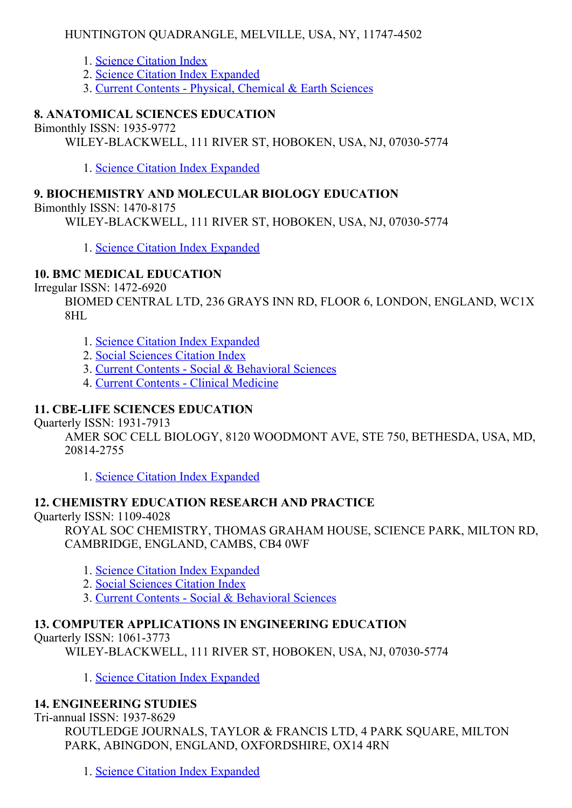#### HUNTINGTON QUADRANGLE, MELVILLE, USA, NY, 11747-4502

- 1. Science [Citation](http://thomsonreuters.com/science-citation-index-expanded) Index
- 2. Science Citation Index [Expanded](http://thomsonreuters.com/science-citation-index-expanded)
- 3. Current Contents Physical, [Chemical](http://thomsonreuters.com/current-contents-connect) & Earth Sciences

#### 8. ANATOMICAL SCIENCES EDUCATION

Bimonthly ISSN: 1935-9772

WILEY-BLACKWELL, 111 RIVER ST, HOBOKEN, USA, NJ, 07030-5774

1. Science Citation Index [Expanded](http://thomsonreuters.com/science-citation-index-expanded)

#### 9. BIOCHEMISTRY AND MOLECULAR BIOLOGY EDUCATION

Bimonthly ISSN:  $1470-8175$ 

WILEY-BLACKWELL, 111 RIVER ST, HOBOKEN, USA, NJ, 07030-5774

1. Science Citation Index [Expanded](http://thomsonreuters.com/science-citation-index-expanded)

#### 10. BMC MEDICAL EDUCATION

Irregular ISSN: 14726920

BIOMED CENTRAL LTD, 236 GRAYS INN RD, FLOOR 6, LONDON, ENGLAND, WC1X 8HL

- 1. Science Citation Index [Expanded](http://thomsonreuters.com/science-citation-index-expanded)
- 2. Social [Sciences](http://thomsonreuters.com/social-sciences-citation-index) Citation Index
- 3. Current Contents Social & [Behavioral](http://thomsonreuters.com/current-contents-connect/) Sciences
- 4. Current Contents Clinical [Medicine](http://thomsonreuters.com/current-contents-connect)

### 11. CBELIFE SCIENCES EDUCATION

**Ouarterly ISSN: 1931-7913** 

AMER SOC CELL BIOLOGY, 8120 WOODMONT AVE, STE 750, BETHESDA, USA, MD, 208142755

1. Science Citation Index [Expanded](http://thomsonreuters.com/science-citation-index-expanded)

# 12. CHEMISTRY EDUCATION RESEARCH AND PRACTICE

Quarterly ISSN: 11094028

ROYAL SOC CHEMISTRY, THOMAS GRAHAM HOUSE, SCIENCE PARK, MILTON RD, CAMBRIDGE, ENGLAND, CAMBS, CB4 0WF

- 1. Science Citation Index [Expanded](http://thomsonreuters.com/science-citation-index-expanded)
- 2. Social [Sciences](http://thomsonreuters.com/social-sciences-citation-index) Citation Index
- 3. Current Contents Social & [Behavioral](http://thomsonreuters.com/current-contents-connect/) Sciences

#### 13. COMPUTER APPLICATIONS IN ENGINEERING EDUCATION

Quarterly ISSN: 1061-3773

WILEY-BLACKWELL, 111 RIVER ST, HOBOKEN, USA, NJ, 07030-5774

1. Science Citation Index [Expanded](http://thomsonreuters.com/science-citation-index-expanded)

#### 14. ENGINEERING STUDIES

Tri-annual ISSN: 1937-8629

ROUTLEDGE JOURNALS, TAYLOR & FRANCIS LTD, 4 PARK SOUARE, MILTON PARK, ABINGDON, ENGLAND, OXFORDSHIRE, OX14 4RN

1. Science Citation Index [Expanded](http://thomsonreuters.com/science-citation-index-expanded)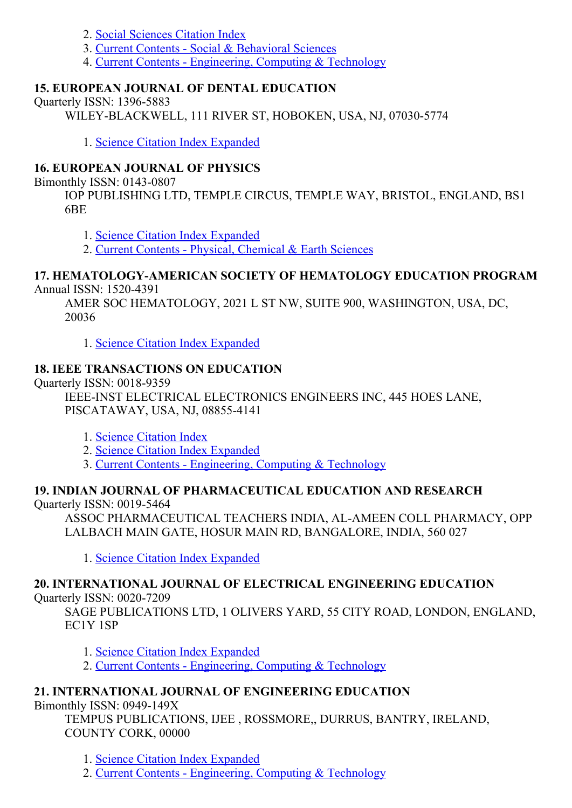- 2. Social [Sciences](http://thomsonreuters.com/social-sciences-citation-index) Citation Index
- 3. Current Contents Social & [Behavioral](http://thomsonreuters.com/current-contents-connect/) Sciences
- 4. Current Contents [Engineering,](http://thomsonreuters.com/current-contents-connect) Computing & Technology

# 15. EUROPEAN JOURNAL OF DENTAL EDUCATION

Quarterly ISSN: 1396-5883

WILEY-BLACKWELL, 111 RIVER ST, HOBOKEN, USA, NJ, 07030-5774

1. Science Citation Index [Expanded](http://thomsonreuters.com/science-citation-index-expanded)

# 16. EUROPEAN JOURNAL OF PHYSICS

Bimonthly ISSN: 0143-0807

IOP PUBLISHING LTD, TEMPLE CIRCUS, TEMPLE WAY, BRISTOL, ENGLAND, BS1 6BE

1. Science Citation Index [Expanded](http://thomsonreuters.com/science-citation-index-expanded)

2. Current Contents - Physical, [Chemical](http://thomsonreuters.com/current-contents-connect) & Earth Sciences

#### 17. HEMATOLOGY-AMERICAN SOCIETY OF HEMATOLOGY EDUCATION PROGRAM Annual ISSN: 1520-4391

AMER SOC HEMATOLOGY, 2021 L ST NW, SUITE 900, WASHINGTON, USA, DC, 20036

1. Science Citation Index [Expanded](http://thomsonreuters.com/science-citation-index-expanded)

# 18. IEEE TRANSACTIONS ON EDUCATION

Ouarterly ISSN: 0018-9359

IEEE-INST ELECTRICAL ELECTRONICS ENGINEERS INC, 445 HOES LANE, PISCATAWAY, USA, NJ, 088554141

- 1. Science [Citation](http://thomsonreuters.com/science-citation-index-expanded) Index
- 2. Science Citation Index [Expanded](http://thomsonreuters.com/science-citation-index-expanded)
- 3. Current Contents [Engineering,](http://thomsonreuters.com/current-contents-connect) Computing & Technology

# 19. INDIAN JOURNAL OF PHARMACEUTICAL EDUCATION AND RESEARCH

Quarterly ISSN: 0019-5464

ASSOC PHARMACEUTICAL TEACHERS INDIA, ALAMEEN COLL PHARMACY, OPP LALBACH MAIN GATE, HOSUR MAIN RD, BANGALORE, INDIA, 560 027

1. Science Citation Index [Expanded](http://thomsonreuters.com/science-citation-index-expanded)

# 20. INTERNATIONAL JOURNAL OF ELECTRICAL ENGINEERING EDUCATION

**Ouarterly ISSN: 0020-7209** 

SAGE PUBLICATIONS LTD, 1 OLIVERS YARD, 55 CITY ROAD, LONDON, ENGLAND, EC1Y 1SP

1. Science Citation Index [Expanded](http://thomsonreuters.com/science-citation-index-expanded)

2. Current Contents - [Engineering,](http://thomsonreuters.com/current-contents-connect) Computing & Technology

# 21. INTERNATIONAL JOURNAL OF ENGINEERING EDUCATION

Bimonthly ISSN: 0949-149X

TEMPUS PUBLICATIONS, IJEE , ROSSMORE,, DURRUS, BANTRY, IRELAND, COUNTY CORK, 00000

1. Science Citation Index [Expanded](http://thomsonreuters.com/science-citation-index-expanded)

2. Current Contents - [Engineering,](http://thomsonreuters.com/current-contents-connect) Computing & Technology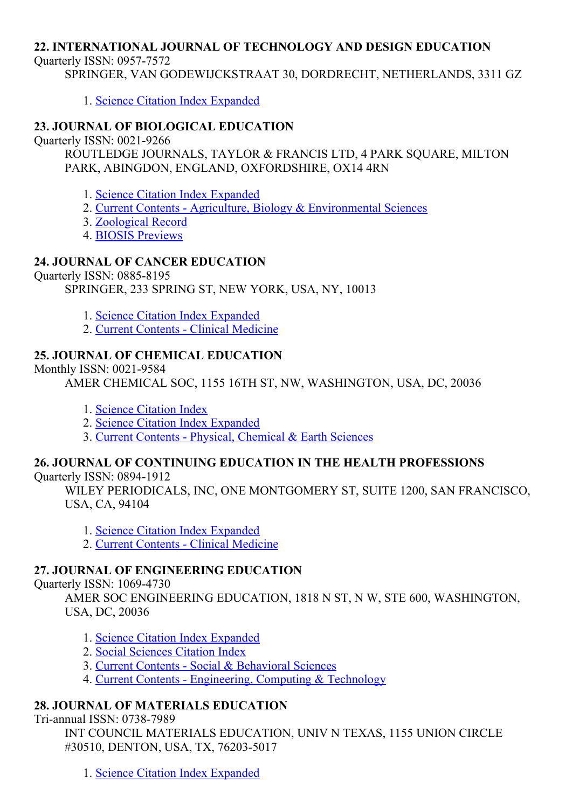#### 22. INTERNATIONAL JOURNAL OF TECHNOLOGY AND DESIGN EDUCATION

Ouarterly ISSN: 0957-7572

SPRINGER, VAN GODEWIJCKSTRAAT 30, DORDRECHT, NETHERLANDS, 3311 GZ

1. Science Citation Index [Expanded](http://thomsonreuters.com/science-citation-index-expanded)

#### 23. JOURNAL OF BIOLOGICAL EDUCATION

Quarterly ISSN: 0021-9266

ROUTLEDGE JOURNALS, TAYLOR & FRANCIS LTD, 4 PARK SQUARE, MILTON PARK, ABINGDON, ENGLAND, OXFORDSHIRE, OX14 4RN

- 1. Science Citation Index [Expanded](http://thomsonreuters.com/science-citation-index-expanded)
- 2. Current Contents Agriculture, Biology & [Environmental](http://thomsonreuters.com/current-contents-connect/) Sciences
- 3. [Zoological](http://thomsonreuters.com/zoological-record) Record
- 4. BIOSIS [Previews](http://thomsonreuters.com/biosis-previews)

#### 24. JOURNAL OF CANCER EDUCATION

Quarterly ISSN: 0885-8195

SPRINGER, 233 SPRING ST, NEW YORK, USA, NY, 10013

- 1. Science Citation Index [Expanded](http://thomsonreuters.com/science-citation-index-expanded)
- 2. Current Contents Clinical [Medicine](http://thomsonreuters.com/current-contents-connect)

### 25. JOURNAL OF CHEMICAL EDUCATION

#### Monthly ISSN: 0021-9584

AMER CHEMICAL SOC, 1155 16TH ST, NW, WASHINGTON, USA, DC, 20036

- 1. Science [Citation](http://thomsonreuters.com/science-citation-index-expanded) Index
- 2. Science Citation Index [Expanded](http://thomsonreuters.com/science-citation-index-expanded)
- 3. Current Contents Physical, [Chemical](http://thomsonreuters.com/current-contents-connect) & Earth Sciences

# 26. JOURNAL OF CONTINUING EDUCATION IN THE HEALTH PROFESSIONS

Quarterly ISSN: 0894-1912

WILEY PERIODICALS, INC, ONE MONTGOMERY ST, SUITE 1200, SAN FRANCISCO, USA, CA, 94104

- 1. Science Citation Index [Expanded](http://thomsonreuters.com/science-citation-index-expanded)
- 2. Current Contents Clinical [Medicine](http://thomsonreuters.com/current-contents-connect)

#### 27. JOURNAL OF ENGINEERING EDUCATION

Quarterly ISSN: 1069-4730

AMER SOC ENGINEERING EDUCATION, 1818 N ST, N W, STE 600, WASHINGTON, USA, DC, 20036

- 1. Science Citation Index [Expanded](http://thomsonreuters.com/science-citation-index-expanded)
- 2. Social [Sciences](http://thomsonreuters.com/social-sciences-citation-index) Citation Index
- 3. Current Contents Social & [Behavioral](http://thomsonreuters.com/current-contents-connect/) Sciences
- 4. Current Contents [Engineering,](http://thomsonreuters.com/current-contents-connect) Computing & Technology

#### 28. JOURNAL OF MATERIALS EDUCATION

Tri-annual ISSN: 0738-7989

INT COUNCIL MATERIALS EDUCATION, UNIV N TEXAS, 1155 UNION CIRCLE #30510, DENTON, USA, TX, 76203-5017

1. Science Citation Index [Expanded](http://thomsonreuters.com/science-citation-index-expanded)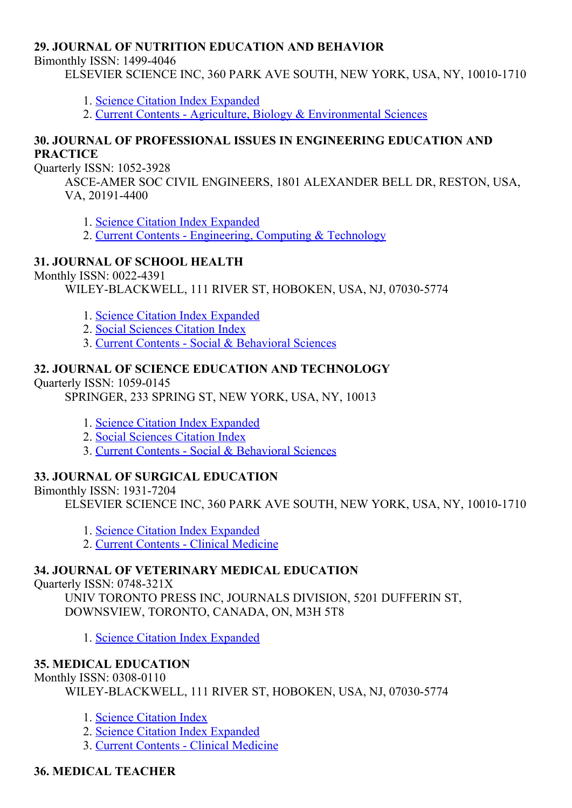#### 29. JOURNAL OF NUTRITION EDUCATION AND BEHAVIOR

Bimonthly ISSN: 1499-4046

ELSEVIER SCIENCE INC, 360 PARK AVE SOUTH, NEW YORK, USA, NY, 10010-1710

- 1. Science Citation Index [Expanded](http://thomsonreuters.com/science-citation-index-expanded)
- 2. Current Contents Agriculture, Biology & [Environmental](http://thomsonreuters.com/current-contents-connect/) Sciences

#### 30. JOURNAL OF PROFESSIONAL ISSUES IN ENGINEERING EDUCATION AND **PRACTICE**

Ouarterly ISSN: 1052-3928

ASCEAMER SOC CIVIL ENGINEERS, 1801 ALEXANDER BELL DR, RESTON, USA, VA, 20191-4400

1. Science Citation Index [Expanded](http://thomsonreuters.com/science-citation-index-expanded)

2. Current Contents - [Engineering,](http://thomsonreuters.com/current-contents-connect) Computing & Technology

#### 31. JOURNAL OF SCHOOL HEALTH

Monthly ISSN: 0022-4391

WILEY-BLACKWELL, 111 RIVER ST, HOBOKEN, USA, NJ, 07030-5774

- 1. Science Citation Index [Expanded](http://thomsonreuters.com/science-citation-index-expanded)
- 2. Social [Sciences](http://thomsonreuters.com/social-sciences-citation-index) Citation Index
- 3. Current Contents Social & [Behavioral](http://thomsonreuters.com/current-contents-connect/) Sciences

### 32. JOURNAL OF SCIENCE EDUCATION AND TECHNOLOGY

Quarterly ISSN: 1059-0145

SPRINGER, 233 SPRING ST, NEW YORK, USA, NY, 10013

- 1. Science Citation Index [Expanded](http://thomsonreuters.com/science-citation-index-expanded)
- 2. Social [Sciences](http://thomsonreuters.com/social-sciences-citation-index) Citation Index
- 3. Current Contents Social & [Behavioral](http://thomsonreuters.com/current-contents-connect/) Sciences

#### 33. JOURNAL OF SURGICAL EDUCATION

Bimonthly ISSN: 1931-7204

ELSEVIER SCIENCE INC, 360 PARK AVE SOUTH, NEW YORK, USA, NY, 10010-1710

- 1. Science Citation Index [Expanded](http://thomsonreuters.com/science-citation-index-expanded)
- 2. Current Contents Clinical [Medicine](http://thomsonreuters.com/current-contents-connect)

#### 34. JOURNAL OF VETERINARY MEDICAL EDUCATION

Ouarterly ISSN: 0748-321X

UNIV TORONTO PRESS INC, JOURNALS DIVISION, 5201 DUFFERIN ST, DOWNSVIEW, TORONTO, CANADA, ON, M3H 5T8

1. Science Citation Index [Expanded](http://thomsonreuters.com/science-citation-index-expanded)

#### 35. MEDICAL EDUCATION

Monthly ISSN: 0308-0110

WILEY-BLACKWELL, 111 RIVER ST, HOBOKEN, USA, NJ, 07030-5774

- 1. Science [Citation](http://thomsonreuters.com/science-citation-index-expanded) Index
- 2. Science Citation Index [Expanded](http://thomsonreuters.com/science-citation-index-expanded)
- 3. Current Contents Clinical [Medicine](http://thomsonreuters.com/current-contents-connect)

#### 36. MEDICAL TEACHER